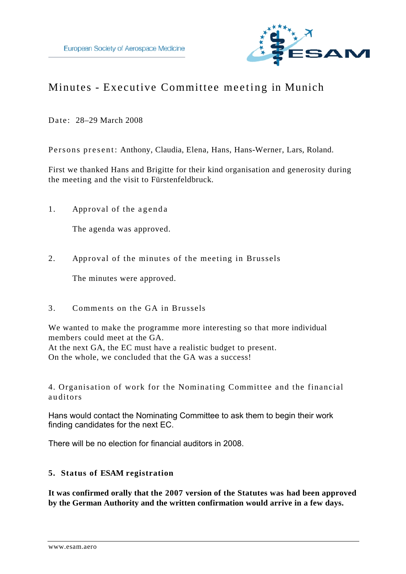

# Minutes - Executive Committee meeting in Munich

Date: 28–29 March 2008

Persons present: Anthony, Claudia, Elena, Hans, Hans-Werner, Lars, Roland.

First we thanked Hans and Brigitte for their kind organisation and generosity during the meeting and the visit to Fürstenfeldbruck.

1. Approval of the agenda

The agenda was approved.

2. Approval of the minutes of the meeting in Brussels

The minutes were approved.

3. Comments on the GA in Brussels

We wanted to make the programme more interesting so that more individual members could meet at the GA.

At the next GA, the EC must have a realistic budget to present. On the whole, we concluded that the GA was a success!

4. Organisation of work for the Nominating Committee and the financial a u ditors

Hans would contact the Nominating Committee to ask them to begin their work finding candidates for the next EC.

There will be no election for financial auditors in 2008.

# **5. Status of ESAM registration**

**It was confirmed orally that the 2007 version of the Statutes was had been approved by the German Authority and the written confirmation would arrive in a few days.**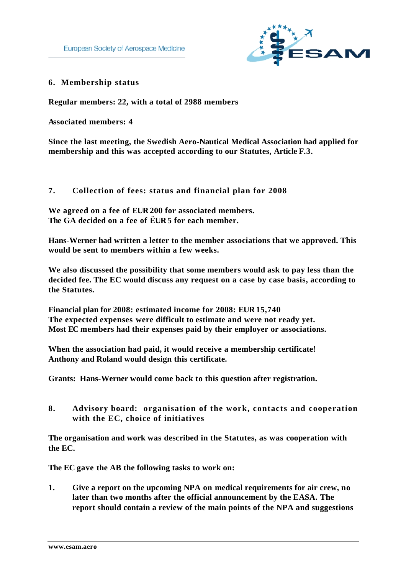

#### **6. Membership status**

**Regular members: 22, with a total of 2988 members** 

**Associated members: 4** 

**Since the last meeting, the Swedish Aero-Nautical Medical Association had applied for membership and this was accepted according to our Statutes, Article F.3.** 

#### **7. Collection of fees: status and financial plan for 2008**

**We agreed on a fee of EUR 200 for associated members. The GA decided on a fee of ËUR 5 for each member.**

**Hans-Werner had written a letter to the member associations that we approved. This would be sent to members within a few weeks.** 

**We also discussed the possibility that some members would ask to pay less than the decided fee. The EC would discuss any request on a case by case basis, according to the Statutes.** 

**Financial plan for 2008: estimated income for 2008: EUR 15,740 The expected expenses were difficult to estimate and were not ready yet. Most EC members had their expenses paid by their employer or associations.** 

**When the association had paid, it would receive a membership certificate! Anthony and Roland would design this certificate.** 

**Grants: Hans-Werner would come back to this question after registration.** 

**8. Advisory board: organisation of the work, contacts and cooperation with the EC, choice of initiatives**

**The organisation and work was described in the Statutes, as was cooperation with the EC.** 

**The EC gave the AB the following tasks to work on:** 

**1. Give a report on the upcoming NPA on medical requirements for air crew, no later than two months after the official announcement by the EASA. The report should contain a review of the main points of the NPA and suggestions**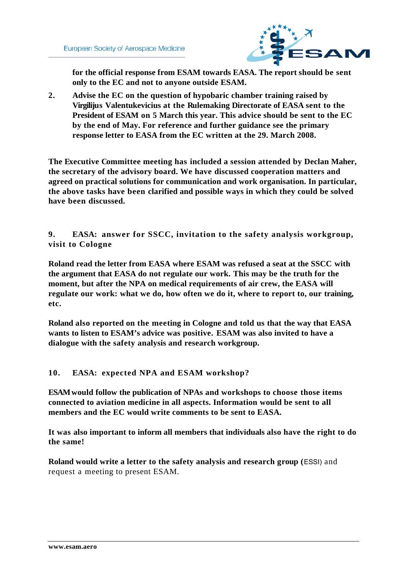

**for the official response from ESAM towards EASA. The report should be sent only to the EC and not to anyone outside ESAM.** 

**2. Advise the EC on the question of hypobaric chamber training raised by Virgilijus Valentukevicius at the Rulemaking Directorate of EASA sent to the President of ESAM on 5 March this year. This advice should be sent to the EC by the end of May. For reference and further guidance see the primary response letter to EASA from the EC written at the 29. March 2008.**

**The Executive Committee meeting has included a session attended by Declan Maher, the secretary of the advisory board. We have discussed cooperation matters and agreed on practical solutions for communication and work organisation. In particular, the above tasks have been clarified and possible ways in which they could be solved have been discussed.**

**9. EASA: answer for SSCC, invitation to the safety analysis workgroup, visit to Cologne**

**Roland read the letter from EASA where ESAM was refused a seat at the SSCC with the argument that EASA do not regulate our work. This may be the truth for the moment, but after the NPA on medical requirements of air crew, the EASA will regulate our work: what we do, how often we do it, where to report to, our training, etc.**

**Roland also reported on the meeting in Cologne and told us that the way that EASA wants to listen to ESAM's advice was positive. ESAM was also invited to have a dialogue with the safety analysis and research workgroup.** 

# **10. EASA: expected NPA and ESAM workshop?**

**ESAM would follow the publication of NPAs and workshops to choose those items connected to aviation medicine in all aspects. Information would be sent to all members and the EC would write comments to be sent to EASA.** 

**It was also important to inform all members that individuals also have the right to do the same!** 

**Roland would write a letter to the safety analysis and research group (**ESSI) and request a meeting to present ESAM.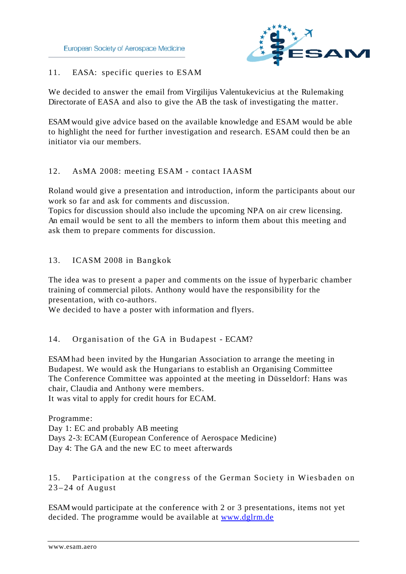

# 11. EASA: specific queries to ESAM

We decided to answer the email from Virgilijus Valentukevicius at the Rulemaking Directorate of EASA and also to give the AB the task of investigating the matter.

ESAM would give advice based on the available knowledge and ESAM would be able to highlight the need for further investigation and research. ESAM could then be an initiator via our members.

# 12. AsMA 2008: meeting ESAM - contact IAASM

Roland would give a presentation and introduction, inform the participants about our work so far and ask for comments and discussion.

Topics for discussion should also include the upcoming NPA on air crew licensing. An email would be sent to all the members to inform them about this meeting and ask them to prepare comments for discussion.

# 13. ICASM 2008 in Bangkok

The idea was to present a paper and comments on the issue of hyperbaric chamber training of commercial pilots. Anthony would have the responsibility for the presentation, with co-authors.

We decided to have a poster with information and flyers.

# 14. Organisation of the GA in Budapest - ECAM?

ESAM had been invited by the Hungarian Association to arrange the meeting in Budapest. We would ask the Hungarians to establish an Organising Committee The Conference Committee was appointed at the meeting in Düsseldorf: Hans was chair, Claudia and Anthony were members.

It was vital to apply for credit hours for ECAM.

Programme: Day 1: EC and probably AB meeting Days 2-3: ECAM (European Conference of Aerospace Medicine) Day 4: The GA and the new EC to meet afterwards

15. Participation at the congress of the German Society in Wiesbaden on  $23 - 24$  of August

ESAM would participate at the conference with 2 or 3 presentations, items not yet decided. The programme would be available at www.dglrm.de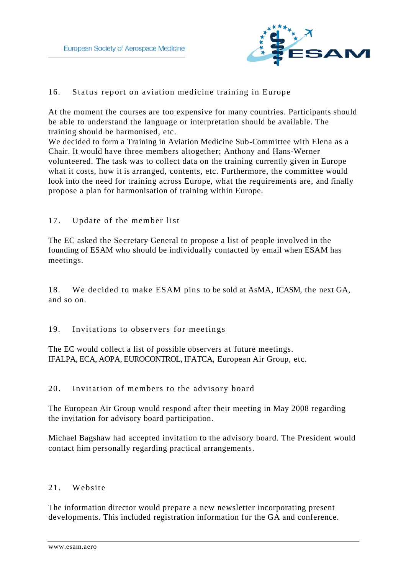

# 16. Status report on aviation medicine training in Europe

At the moment the courses are too expensive for many countries. Participants should be able to understand the language or interpretation should be available. The training should be harmonised, etc.

We decided to form a Training in Aviation Medicine Sub-Committee with Elena as a Chair. It would have three members altogether; Anthony and Hans-Werner volunteered. The task was to collect data on the training currently given in Europe what it costs, how it is arranged, contents, etc. Furthermore, the committee would look into the need for training across Europe, what the requirements are, and finally propose a plan for harmonisation of training within Europe.

# 17. Update of the member list

The EC asked the Secretary General to propose a list of people involved in the founding of ESAM who should be individually contacted by email when ESAM has meetings.

18. We decided to make ESAM pins to be sold at AsMA, ICASM, the next GA, and so on.

# 19. Invitations to observers for meetings

The EC would collect a list of possible observers at future meetings. IFALPA, ECA, AOPA, EUROCONTROL, IFATCA, European Air Group, etc.

# 20. Invitation of members to the advisory board

The European Air Group would respond after their meeting in May 2008 regarding the invitation for advisory board participation.

Michael Bagshaw had accepted invitation to the advisory board. The President would contact him personally regarding practical arrangements.

#### 21. Website

The information director would prepare a new newsletter incorporating present developments. This included registration information for the GA and conference.